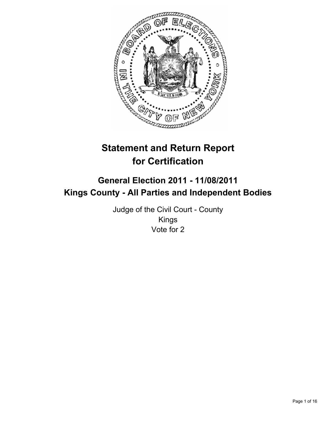

# **Statement and Return Report for Certification**

# **General Election 2011 - 11/08/2011 Kings County - All Parties and Independent Bodies**

Judge of the Civil Court - County Kings Vote for 2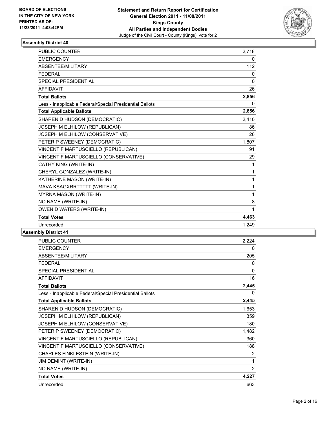

| <b>PUBLIC COUNTER</b>                                    | 2,718        |
|----------------------------------------------------------|--------------|
| <b>EMERGENCY</b>                                         | 0            |
| ABSENTEE/MILITARY                                        | 112          |
| <b>FEDERAL</b>                                           | 0            |
| <b>SPECIAL PRESIDENTIAL</b>                              | 0            |
| <b>AFFIDAVIT</b>                                         | 26           |
| <b>Total Ballots</b>                                     | 2,856        |
| Less - Inapplicable Federal/Special Presidential Ballots | 0            |
| <b>Total Applicable Ballots</b>                          | 2,856        |
| SHAREN D HUDSON (DEMOCRATIC)                             | 2,410        |
| JOSEPH M ELHILOW (REPUBLICAN)                            | 86           |
| JOSEPH M ELHILOW (CONSERVATIVE)                          | 26           |
| PETER P SWEENEY (DEMOCRATIC)                             | 1,807        |
| VINCENT F MARTUSCIELLO (REPUBLICAN)                      | 91           |
| VINCENT F MARTUSCIELLO (CONSERVATIVE)                    | 29           |
| CATHY KING (WRITE-IN)                                    | $\mathbf{1}$ |
| CHERYL GONZALEZ (WRITE-IN)                               | 1            |
| KATHERINE MASON (WRITE-IN)                               | 1            |
| MAVA KSAGXRRTTTTT (WRITE-IN)                             | 1            |
| <b>MYRNA MASON (WRITE-IN)</b>                            | 1            |
| NO NAME (WRITE-IN)                                       | 8            |
| OWEN D WATERS (WRITE-IN)                                 | 1            |
| <b>Total Votes</b>                                       | 4,463        |
| Unrecorded                                               | 1,249        |

| PUBLIC COUNTER                                           | 2,224          |
|----------------------------------------------------------|----------------|
| <b>EMERGENCY</b>                                         | 0              |
| ABSENTEE/MILITARY                                        | 205            |
| <b>FEDERAL</b>                                           | 0              |
| SPECIAL PRESIDENTIAL                                     | 0              |
| <b>AFFIDAVIT</b>                                         | 16             |
| <b>Total Ballots</b>                                     | 2,445          |
| Less - Inapplicable Federal/Special Presidential Ballots | 0              |
| <b>Total Applicable Ballots</b>                          | 2,445          |
| SHAREN D HUDSON (DEMOCRATIC)                             | 1,653          |
| JOSEPH M ELHILOW (REPUBLICAN)                            | 359            |
| JOSEPH M ELHILOW (CONSERVATIVE)                          | 180            |
| PETER P SWEENEY (DEMOCRATIC)                             | 1,482          |
| VINCENT F MARTUSCIELLO (REPUBLICAN)                      | 360            |
| VINCENT F MARTUSCIELLO (CONSERVATIVE)                    | 188            |
| CHARLES FINKLESTEIN (WRITE-IN)                           | 2              |
| <b>JIM DEMINT (WRITE-IN)</b>                             | 1              |
| NO NAME (WRITE-IN)                                       | $\overline{2}$ |
| <b>Total Votes</b>                                       | 4,227          |
| Unrecorded                                               | 663            |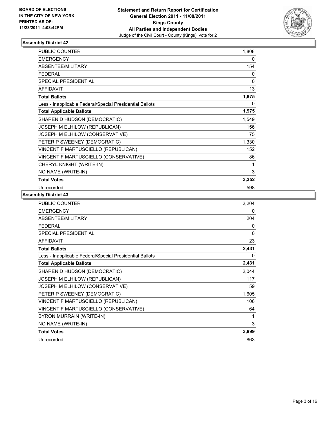

| <b>PUBLIC COUNTER</b>                                    | 1,808 |
|----------------------------------------------------------|-------|
| <b>EMERGENCY</b>                                         | 0     |
| <b>ABSENTEE/MILITARY</b>                                 | 154   |
| <b>FEDERAL</b>                                           | 0     |
| SPECIAL PRESIDENTIAL                                     | 0     |
| <b>AFFIDAVIT</b>                                         | 13    |
| <b>Total Ballots</b>                                     | 1,975 |
| Less - Inapplicable Federal/Special Presidential Ballots | 0     |
| <b>Total Applicable Ballots</b>                          | 1,975 |
| SHAREN D HUDSON (DEMOCRATIC)                             | 1,549 |
| JOSEPH M ELHILOW (REPUBLICAN)                            | 156   |
| JOSEPH M ELHILOW (CONSERVATIVE)                          | 75    |
| PETER P SWEENEY (DEMOCRATIC)                             | 1,330 |
| VINCENT F MARTUSCIELLO (REPUBLICAN)                      | 152   |
| VINCENT F MARTUSCIELLO (CONSERVATIVE)                    | 86    |
| CHERYL KNIGHT (WRITE-IN)                                 | 1     |
| NO NAME (WRITE-IN)                                       | 3     |
| <b>Total Votes</b>                                       | 3,352 |
| Unrecorded                                               | 598   |

| PUBLIC COUNTER                                           | 2,204    |
|----------------------------------------------------------|----------|
| <b>EMERGENCY</b>                                         | 0        |
| ABSENTEE/MILITARY                                        | 204      |
| <b>FEDERAL</b>                                           | 0        |
| <b>SPECIAL PRESIDENTIAL</b>                              | $\Omega$ |
| <b>AFFIDAVIT</b>                                         | 23       |
| <b>Total Ballots</b>                                     | 2,431    |
| Less - Inapplicable Federal/Special Presidential Ballots | 0        |
| <b>Total Applicable Ballots</b>                          | 2,431    |
| SHAREN D HUDSON (DEMOCRATIC)                             | 2,044    |
| JOSEPH M ELHILOW (REPUBLICAN)                            | 117      |
| JOSEPH M ELHILOW (CONSERVATIVE)                          | 59       |
| PETER P SWEENEY (DEMOCRATIC)                             | 1,605    |
| VINCENT F MARTUSCIELLO (REPUBLICAN)                      | 106      |
| VINCENT F MARTUSCIELLO (CONSERVATIVE)                    | 64       |
| BYRON MURRAIN (WRITE-IN)                                 | 1        |
| NO NAME (WRITE-IN)                                       | 3        |
| <b>Total Votes</b>                                       | 3,999    |
| Unrecorded                                               | 863      |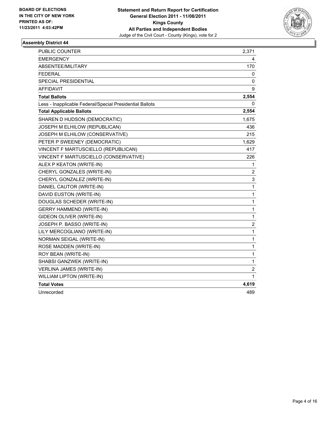

| PUBLIC COUNTER                                           | 2,371                   |
|----------------------------------------------------------|-------------------------|
| <b>EMERGENCY</b>                                         | 4                       |
| ABSENTEE/MILITARY                                        | 170                     |
| <b>FEDERAL</b>                                           | 0                       |
| <b>SPECIAL PRESIDENTIAL</b>                              | 0                       |
| <b>AFFIDAVIT</b>                                         | 9                       |
| <b>Total Ballots</b>                                     | 2,554                   |
| Less - Inapplicable Federal/Special Presidential Ballots | 0                       |
| <b>Total Applicable Ballots</b>                          | 2,554                   |
| SHAREN D HUDSON (DEMOCRATIC)                             | 1,675                   |
| JOSEPH M ELHILOW (REPUBLICAN)                            | 436                     |
| JOSEPH M ELHILOW (CONSERVATIVE)                          | 215                     |
| PETER P SWEENEY (DEMOCRATIC)                             | 1,629                   |
| VINCENT F MARTUSCIELLO (REPUBLICAN)                      | 417                     |
| VINCENT F MARTUSCIELLO (CONSERVATIVE)                    | 226                     |
| ALEX P KEATON (WRITE-IN)                                 | 1                       |
| CHERYL GONZALES (WRITE-IN)                               | 2                       |
| CHERYL GONZALEZ (WRITE-IN)                               | 3                       |
| DANIEL CAUTOR (WRITE-IN)                                 | 1                       |
| DAVID EUSTON (WRITE-IN)                                  | 1                       |
| DOUGLAS SCHEDER (WRITE-IN)                               | 1                       |
| <b>GERRY HAMMEND (WRITE-IN)</b>                          | 1                       |
| GIDEON OLIVER (WRITE-IN)                                 | 1                       |
| JOSEPH P. BASSO (WRITE-IN)                               | $\overline{\mathbf{c}}$ |
| LILY MERCOGLIANO (WRITE-IN)                              | 1                       |
| NORMAN SEIGAL (WRITE-IN)                                 | 1                       |
| ROSE MADDEN (WRITE-IN)                                   | $\mathbf 1$             |
| ROY BEAN (WRITE-IN)                                      | 1                       |
| SHABSI GANZWEK (WRITE-IN)                                | 1                       |
| <b>VERLINA JAMES (WRITE-IN)</b>                          | 2                       |
| WILLIAM LIPTON (WRITE-IN)                                | 1                       |
| <b>Total Votes</b>                                       | 4,619                   |
| Unrecorded                                               | 489                     |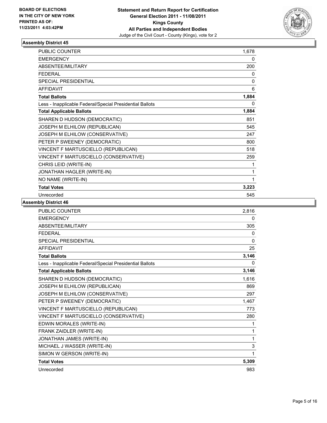

| <b>PUBLIC COUNTER</b>                                    | 1,678 |
|----------------------------------------------------------|-------|
| <b>EMERGENCY</b>                                         | 0     |
| ABSENTEE/MILITARY                                        | 200   |
| <b>FEDERAL</b>                                           | 0     |
| SPECIAL PRESIDENTIAL                                     | 0     |
| <b>AFFIDAVIT</b>                                         | 6     |
| <b>Total Ballots</b>                                     | 1,884 |
| Less - Inapplicable Federal/Special Presidential Ballots | 0     |
| <b>Total Applicable Ballots</b>                          | 1,884 |
| SHAREN D HUDSON (DEMOCRATIC)                             | 851   |
| JOSEPH M ELHILOW (REPUBLICAN)                            | 545   |
| JOSEPH M ELHILOW (CONSERVATIVE)                          | 247   |
| PETER P SWEENEY (DEMOCRATIC)                             | 800   |
| VINCENT F MARTUSCIELLO (REPUBLICAN)                      | 518   |
| VINCENT F MARTUSCIELLO (CONSERVATIVE)                    | 259   |
| CHRIS LEID (WRITE-IN)                                    | 1     |
| JONATHAN HAGLER (WRITE-IN)                               | 1     |
| NO NAME (WRITE-IN)                                       | 1     |
| <b>Total Votes</b>                                       | 3,223 |
| Unrecorded                                               | 545   |

| <b>PUBLIC COUNTER</b>                                    | 2,816        |
|----------------------------------------------------------|--------------|
| <b>EMERGENCY</b>                                         | 0            |
| ABSENTEE/MILITARY                                        | 305          |
| <b>FFDFRAL</b>                                           | 0            |
| <b>SPECIAL PRESIDENTIAL</b>                              | $\mathbf{0}$ |
| <b>AFFIDAVIT</b>                                         | 25           |
| <b>Total Ballots</b>                                     | 3,146        |
| Less - Inapplicable Federal/Special Presidential Ballots | 0            |
| <b>Total Applicable Ballots</b>                          | 3,146        |
| SHAREN D HUDSON (DEMOCRATIC)                             | 1,616        |
| JOSEPH M ELHILOW (REPUBLICAN)                            | 869          |
| JOSEPH M ELHILOW (CONSERVATIVE)                          | 297          |
| PETER P SWEENEY (DEMOCRATIC)                             | 1,467        |
| VINCENT F MARTUSCIELLO (REPUBLICAN)                      | 773          |
| VINCENT F MARTUSCIELLO (CONSERVATIVE)                    | 280          |
| EDWIN MORALES (WRITE-IN)                                 | 1            |
| FRANK ZAIDLER (WRITE-IN)                                 | 1            |
| JONATHAN JAMES (WRITE-IN)                                | 1            |
| MICHAEL J WASSER (WRITE-IN)                              | 3            |
| SIMON W GERSON (WRITE-IN)                                | 1            |
| <b>Total Votes</b>                                       | 5,309        |
| Unrecorded                                               | 983          |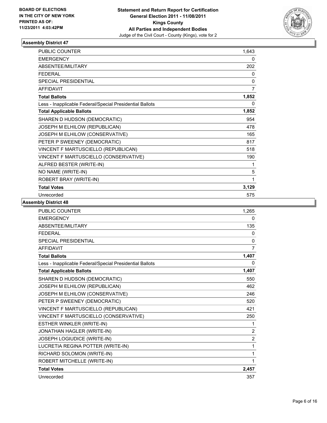

| <b>PUBLIC COUNTER</b>                                    | 1,643        |
|----------------------------------------------------------|--------------|
| <b>EMERGENCY</b>                                         | 0            |
| <b>ABSENTEE/MILITARY</b>                                 | 202          |
| <b>FEDERAL</b>                                           | $\mathbf{0}$ |
| <b>SPECIAL PRESIDENTIAL</b>                              | 0            |
| <b>AFFIDAVIT</b>                                         | 7            |
| <b>Total Ballots</b>                                     | 1,852        |
| Less - Inapplicable Federal/Special Presidential Ballots | 0            |
| <b>Total Applicable Ballots</b>                          | 1,852        |
| SHAREN D HUDSON (DEMOCRATIC)                             | 954          |
| JOSEPH M ELHILOW (REPUBLICAN)                            | 478          |
| JOSEPH M ELHILOW (CONSERVATIVE)                          | 165          |
| PETER P SWEENEY (DEMOCRATIC)                             | 817          |
| VINCENT F MARTUSCIELLO (REPUBLICAN)                      | 518          |
| VINCENT F MARTUSCIELLO (CONSERVATIVE)                    | 190          |
| ALFRED BESTER (WRITE-IN)                                 | 1            |
| NO NAME (WRITE-IN)                                       | 5            |
| ROBERT BRAY (WRITE-IN)                                   | 1            |
| <b>Total Votes</b>                                       | 3,129        |
| Unrecorded                                               | 575          |

| <b>PUBLIC COUNTER</b>                                    | 1,265          |
|----------------------------------------------------------|----------------|
| <b>EMERGENCY</b>                                         | 0              |
| ABSENTEE/MILITARY                                        | 135            |
| <b>FEDERAL</b>                                           | 0              |
| <b>SPECIAL PRESIDENTIAL</b>                              | $\mathbf{0}$   |
| <b>AFFIDAVIT</b>                                         | $\overline{7}$ |
| <b>Total Ballots</b>                                     | 1,407          |
| Less - Inapplicable Federal/Special Presidential Ballots | 0              |
| <b>Total Applicable Ballots</b>                          | 1,407          |
| SHAREN D HUDSON (DEMOCRATIC)                             | 550            |
| JOSEPH M ELHILOW (REPUBLICAN)                            | 462            |
| JOSEPH M ELHILOW (CONSERVATIVE)                          | 246            |
| PETER P SWEENEY (DEMOCRATIC)                             | 520            |
| VINCENT F MARTUSCIELLO (REPUBLICAN)                      | 421            |
| VINCENT F MARTUSCIELLO (CONSERVATIVE)                    | 250            |
| ESTHER WINKLER (WRITE-IN)                                | 1              |
| JONATHAN HAGLER (WRITE-IN)                               | $\overline{2}$ |
| JOSEPH LOGIUDICE (WRITE-IN)                              | $\overline{2}$ |
| LUCRETIA REGINA POTTER (WRITE-IN)                        | 1              |
| RICHARD SOLOMON (WRITE-IN)                               | 1              |
| ROBERT MITCHELLE (WRITE-IN)                              | 1              |
| <b>Total Votes</b>                                       | 2,457          |
| Unrecorded                                               | 357            |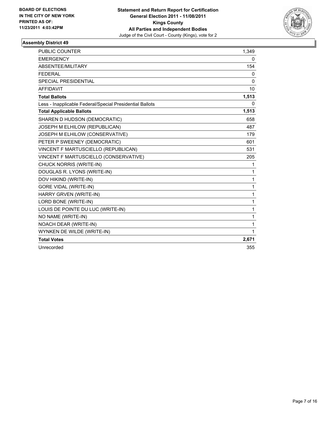

| <b>PUBLIC COUNTER</b>                                    | 1,349 |
|----------------------------------------------------------|-------|
| <b>EMERGENCY</b>                                         | 0     |
| ABSENTEE/MILITARY                                        | 154   |
| <b>FEDERAL</b>                                           | 0     |
| <b>SPECIAL PRESIDENTIAL</b>                              | 0     |
| <b>AFFIDAVIT</b>                                         | 10    |
| <b>Total Ballots</b>                                     | 1,513 |
| Less - Inapplicable Federal/Special Presidential Ballots | 0     |
| <b>Total Applicable Ballots</b>                          | 1,513 |
| SHAREN D HUDSON (DEMOCRATIC)                             | 658   |
| JOSEPH M ELHILOW (REPUBLICAN)                            | 487   |
| JOSEPH M ELHILOW (CONSERVATIVE)                          | 179   |
| PETER P SWEENEY (DEMOCRATIC)                             | 601   |
| VINCENT F MARTUSCIELLO (REPUBLICAN)                      | 531   |
| VINCENT F MARTUSCIELLO (CONSERVATIVE)                    | 205   |
| CHUCK NORRIS (WRITE-IN)                                  | 1     |
| DOUGLAS R. LYONS (WRITE-IN)                              | 1     |
| DOV HIKIND (WRITE-IN)                                    | 1     |
| <b>GORE VIDAL (WRITE-IN)</b>                             | 1     |
| HARRY GRVEN (WRITE-IN)                                   | 1     |
| LORD BONE (WRITE-IN)                                     | 1     |
| LOUIS DE POINTE DU LUC (WRITE-IN)                        | 1     |
| NO NAME (WRITE-IN)                                       | 1     |
| NOACH DEAR (WRITE-IN)                                    | 1     |
| WYNKEN DE WILDE (WRITE-IN)                               | 1     |
| <b>Total Votes</b>                                       | 2,671 |
| Unrecorded                                               | 355   |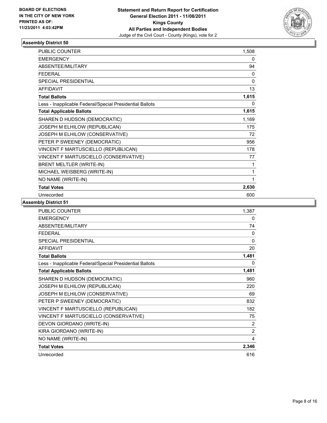

| <b>PUBLIC COUNTER</b>                                    | 1,508        |
|----------------------------------------------------------|--------------|
| <b>EMERGENCY</b>                                         | 0            |
| <b>ABSENTEE/MILITARY</b>                                 | 94           |
| <b>FEDERAL</b>                                           | $\mathbf{0}$ |
| SPECIAL PRESIDENTIAL                                     | 0            |
| <b>AFFIDAVIT</b>                                         | 13           |
| <b>Total Ballots</b>                                     | 1,615        |
| Less - Inapplicable Federal/Special Presidential Ballots | 0            |
| <b>Total Applicable Ballots</b>                          | 1,615        |
| SHAREN D HUDSON (DEMOCRATIC)                             | 1,169        |
| JOSEPH M ELHILOW (REPUBLICAN)                            | 175          |
| JOSEPH M ELHILOW (CONSERVATIVE)                          | 72           |
| PETER P SWEENEY (DEMOCRATIC)                             | 956          |
| VINCENT F MARTUSCIELLO (REPUBLICAN)                      | 178          |
| VINCENT F MARTUSCIELLO (CONSERVATIVE)                    | 77           |
| BRENT MELTLER (WRITE-IN)                                 | 1            |
| MICHAEL WEISBERG (WRITE-IN)                              | 1            |
| NO NAME (WRITE-IN)                                       | 1            |
| <b>Total Votes</b>                                       | 2,630        |
| Unrecorded                                               | 600          |

| <b>PUBLIC COUNTER</b>                                    | 1,387    |
|----------------------------------------------------------|----------|
| <b>EMERGENCY</b>                                         | 0        |
| <b>ABSENTEE/MILITARY</b>                                 | 74       |
| <b>FEDERAL</b>                                           | $\Omega$ |
| <b>SPECIAL PRESIDENTIAL</b>                              | $\Omega$ |
| <b>AFFIDAVIT</b>                                         | 20       |
| <b>Total Ballots</b>                                     | 1,481    |
| Less - Inapplicable Federal/Special Presidential Ballots | 0        |
| <b>Total Applicable Ballots</b>                          | 1,481    |
| SHAREN D HUDSON (DEMOCRATIC)                             | 960      |
| JOSEPH M ELHILOW (REPUBLICAN)                            | 220      |
| JOSEPH M ELHILOW (CONSERVATIVE)                          | 69       |
| PETER P SWEENEY (DEMOCRATIC)                             | 832      |
| VINCENT F MARTUSCIELLO (REPUBLICAN)                      | 182      |
| VINCENT F MARTUSCIELLO (CONSERVATIVE)                    | 75       |
| DEVON GIORDANO (WRITE-IN)                                | 2        |
| KIRA GIORDANO (WRITE-IN)                                 | 2        |
| NO NAME (WRITE-IN)                                       | 4        |
| <b>Total Votes</b>                                       | 2,346    |
| Unrecorded                                               | 616      |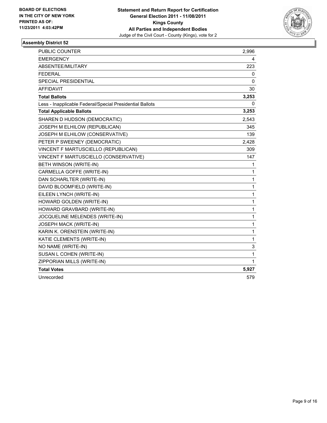

| <b>PUBLIC COUNTER</b>                                    | 2,996        |
|----------------------------------------------------------|--------------|
| <b>EMERGENCY</b>                                         | 4            |
| ABSENTEE/MILITARY                                        | 223          |
| <b>FEDERAL</b>                                           | 0            |
| SPECIAL PRESIDENTIAL                                     | 0            |
| <b>AFFIDAVIT</b>                                         | 30           |
| <b>Total Ballots</b>                                     | 3,253        |
| Less - Inapplicable Federal/Special Presidential Ballots | 0            |
| <b>Total Applicable Ballots</b>                          | 3,253        |
| SHAREN D HUDSON (DEMOCRATIC)                             | 2,543        |
| JOSEPH M ELHILOW (REPUBLICAN)                            | 345          |
| JOSEPH M ELHILOW (CONSERVATIVE)                          | 139          |
| PETER P SWEENEY (DEMOCRATIC)                             | 2,428        |
| VINCENT F MARTUSCIELLO (REPUBLICAN)                      | 309          |
| VINCENT F MARTUSCIELLO (CONSERVATIVE)                    | 147          |
| BETH WINSON (WRITE-IN)                                   | 1            |
| CARMELLA GOFFE (WRITE-IN)                                | $\mathbf{1}$ |
| DAN SCHARLTER (WRITE-IN)                                 | $\mathbf{1}$ |
| DAVID BLOOMFIELD (WRITE-IN)                              | 1            |
| EILEEN LYNCH (WRITE-IN)                                  | $\mathbf{1}$ |
| HOWARD GOLDEN (WRITE-IN)                                 | 1            |
| HOWARD GRAVBARD (WRITE-IN)                               | $\mathbf{1}$ |
| JOCQUELINE MELENDES (WRITE-IN)                           | 1            |
| JOSEPH MACK (WRITE-IN)                                   | 1            |
| KARIN K. ORENSTEIN (WRITE-IN)                            | $\mathbf 1$  |
| KATIE CLEMENTS (WRITE-IN)                                | 1            |
| NO NAME (WRITE-IN)                                       | 3            |
| SUSAN L COHEN (WRITE-IN)                                 | 1            |
| ZIPPORIAN MILLS (WRITE-IN)                               | 1            |
| <b>Total Votes</b>                                       | 5,927        |
| Unrecorded                                               | 579          |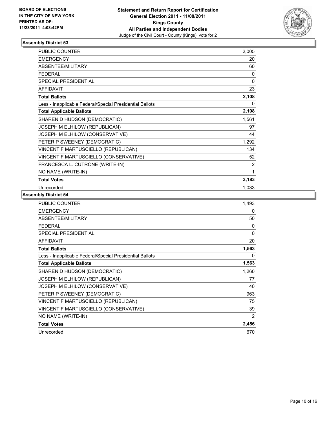

| <b>PUBLIC COUNTER</b>                                    | 2,005       |
|----------------------------------------------------------|-------------|
| <b>EMERGENCY</b>                                         | 20          |
| <b>ABSENTEE/MILITARY</b>                                 | 60          |
| <b>FEDERAL</b>                                           | 0           |
| <b>SPECIAL PRESIDENTIAL</b>                              | $\mathbf 0$ |
| <b>AFFIDAVIT</b>                                         | 23          |
| <b>Total Ballots</b>                                     | 2,108       |
| Less - Inapplicable Federal/Special Presidential Ballots | 0           |
| <b>Total Applicable Ballots</b>                          | 2,108       |
| SHAREN D HUDSON (DEMOCRATIC)                             | 1,561       |
| JOSEPH M ELHILOW (REPUBLICAN)                            | 97          |
| JOSEPH M ELHILOW (CONSERVATIVE)                          | 44          |
| PETER P SWEENEY (DEMOCRATIC)                             | 1,292       |
| VINCENT F MARTUSCIELLO (REPUBLICAN)                      | 134         |
| VINCENT F MARTUSCIELLO (CONSERVATIVE)                    | 52          |
| FRANCESCA L. CUTRONE (WRITE-IN)                          | 2           |
| NO NAME (WRITE-IN)                                       | 1           |
| <b>Total Votes</b>                                       | 3,183       |
| Unrecorded                                               | 1,033       |

| <b>PUBLIC COUNTER</b>                                    | 1,493        |
|----------------------------------------------------------|--------------|
| <b>EMERGENCY</b>                                         | 0            |
| ABSENTEE/MILITARY                                        | 50           |
| <b>FEDERAL</b>                                           | $\mathbf{0}$ |
| <b>SPECIAL PRESIDENTIAL</b>                              | $\mathbf{0}$ |
| <b>AFFIDAVIT</b>                                         | 20           |
| <b>Total Ballots</b>                                     | 1,563        |
| Less - Inapplicable Federal/Special Presidential Ballots | 0            |
| <b>Total Applicable Ballots</b>                          | 1,563        |
| SHAREN D HUDSON (DEMOCRATIC)                             | 1,260        |
| <b>JOSEPH M ELHILOW (REPUBLICAN)</b>                     | 77           |
| JOSEPH M ELHILOW (CONSERVATIVE)                          | 40           |
| PETER P SWEENEY (DEMOCRATIC)                             | 963          |
| VINCENT F MARTUSCIELLO (REPUBLICAN)                      | 75           |
| VINCENT F MARTUSCIELLO (CONSERVATIVE)                    | 39           |
| NO NAME (WRITE-IN)                                       | 2            |
| <b>Total Votes</b>                                       | 2,456        |
| Unrecorded                                               | 670          |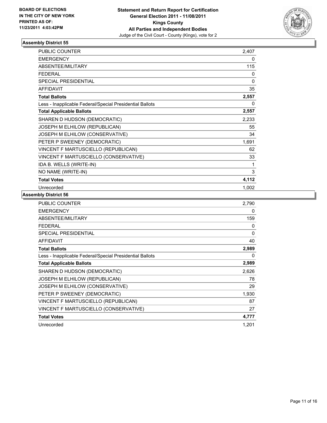

| <b>PUBLIC COUNTER</b>                                    | 2,407 |
|----------------------------------------------------------|-------|
| <b>EMERGENCY</b>                                         | 0     |
| <b>ABSENTEE/MILITARY</b>                                 | 115   |
| <b>FEDERAL</b>                                           | 0     |
| SPECIAL PRESIDENTIAL                                     | 0     |
| <b>AFFIDAVIT</b>                                         | 35    |
| <b>Total Ballots</b>                                     | 2,557 |
| Less - Inapplicable Federal/Special Presidential Ballots | 0     |
| <b>Total Applicable Ballots</b>                          | 2,557 |
| SHAREN D HUDSON (DEMOCRATIC)                             | 2,233 |
| JOSEPH M ELHILOW (REPUBLICAN)                            | 55    |
| JOSEPH M ELHILOW (CONSERVATIVE)                          | 34    |
| PETER P SWEENEY (DEMOCRATIC)                             | 1,691 |
| VINCENT F MARTUSCIELLO (REPUBLICAN)                      | 62    |
| VINCENT F MARTUSCIELLO (CONSERVATIVE)                    | 33    |
| IDA B. WELLS (WRITE-IN)                                  | 1     |
| NO NAME (WRITE-IN)                                       | 3     |
| <b>Total Votes</b>                                       | 4,112 |
| Unrecorded                                               | 1.002 |

| <b>PUBLIC COUNTER</b>                                    | 2,790    |
|----------------------------------------------------------|----------|
| <b>EMERGENCY</b>                                         | 0        |
| ABSENTEE/MILITARY                                        | 159      |
| <b>FEDERAL</b>                                           | 0        |
| <b>SPECIAL PRESIDENTIAL</b>                              | $\Omega$ |
| <b>AFFIDAVIT</b>                                         | 40       |
| <b>Total Ballots</b>                                     | 2,989    |
| Less - Inapplicable Federal/Special Presidential Ballots | 0        |
| <b>Total Applicable Ballots</b>                          | 2,989    |
| SHAREN D HUDSON (DEMOCRATIC)                             | 2,626    |
| <b>JOSEPH M ELHILOW (REPUBLICAN)</b>                     | 78       |
| JOSEPH M ELHILOW (CONSERVATIVE)                          | 29       |
| PETER P SWEENEY (DEMOCRATIC)                             | 1,930    |
| VINCENT F MARTUSCIELLO (REPUBLICAN)                      | 87       |
| VINCENT F MARTUSCIELLO (CONSERVATIVE)                    | 27       |
| <b>Total Votes</b>                                       | 4,777    |
| Unrecorded                                               | 1,201    |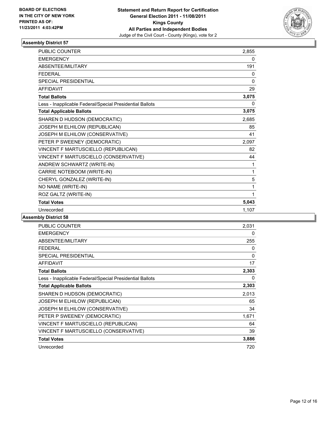

| <b>PUBLIC COUNTER</b>                                    | 2,855        |
|----------------------------------------------------------|--------------|
| <b>EMERGENCY</b>                                         | 0            |
| <b>ABSENTEE/MILITARY</b>                                 | 191          |
| <b>FEDERAL</b>                                           | 0            |
| <b>SPECIAL PRESIDENTIAL</b>                              | $\mathbf{0}$ |
| <b>AFFIDAVIT</b>                                         | 29           |
| <b>Total Ballots</b>                                     | 3,075        |
| Less - Inapplicable Federal/Special Presidential Ballots | 0            |
| <b>Total Applicable Ballots</b>                          | 3,075        |
| SHAREN D HUDSON (DEMOCRATIC)                             | 2,685        |
| JOSEPH M ELHILOW (REPUBLICAN)                            | 85           |
| JOSEPH M ELHILOW (CONSERVATIVE)                          | 41           |
| PETER P SWEENEY (DEMOCRATIC)                             | 2,097        |
| VINCENT F MARTUSCIELLO (REPUBLICAN)                      | 82           |
| VINCENT F MARTUSCIELLO (CONSERVATIVE)                    | 44           |
| ANDREW SCHWARTZ (WRITE-IN)                               | 1            |
| CARRIE NOTEBOOM (WRITE-IN)                               | 1            |
| CHERYL GONZALEZ (WRITE-IN)                               | 5            |
| NO NAME (WRITE-IN)                                       | 1            |
| ROZ GALTZ (WRITE-IN)                                     | 1            |
| <b>Total Votes</b>                                       | 5,043        |
| Unrecorded                                               | 1,107        |

| PUBLIC COUNTER                                           | 2,031        |
|----------------------------------------------------------|--------------|
| <b>EMERGENCY</b>                                         | 0            |
| ABSENTEE/MILITARY                                        | 255          |
| <b>FEDERAL</b>                                           | 0            |
| <b>SPECIAL PRESIDENTIAL</b>                              | $\mathbf{0}$ |
| <b>AFFIDAVIT</b>                                         | 17           |
| <b>Total Ballots</b>                                     | 2,303        |
| Less - Inapplicable Federal/Special Presidential Ballots | 0            |
| <b>Total Applicable Ballots</b>                          | 2,303        |
| SHAREN D HUDSON (DEMOCRATIC)                             | 2,013        |
| JOSEPH M ELHILOW (REPUBLICAN)                            | 65           |
| JOSEPH M ELHILOW (CONSERVATIVE)                          | 34           |
| PETER P SWEENEY (DEMOCRATIC)                             | 1,671        |
| VINCENT F MARTUSCIELLO (REPUBLICAN)                      | 64           |
| VINCENT F MARTUSCIELLO (CONSERVATIVE)                    | 39           |
| <b>Total Votes</b>                                       | 3,886        |
| Unrecorded                                               | 720          |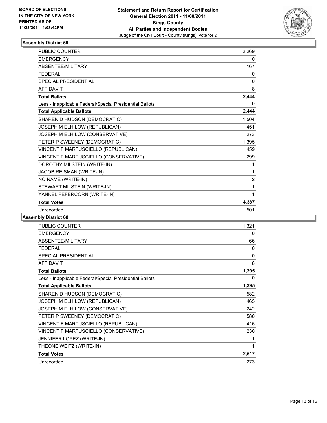

| <b>PUBLIC COUNTER</b>                                    | 2,269          |
|----------------------------------------------------------|----------------|
| <b>EMERGENCY</b>                                         | 0              |
| <b>ABSENTEE/MILITARY</b>                                 | 167            |
| <b>FFDFRAL</b>                                           | 0              |
| <b>SPECIAL PRESIDENTIAL</b>                              | $\mathbf{0}$   |
| <b>AFFIDAVIT</b>                                         | 8              |
| <b>Total Ballots</b>                                     | 2,444          |
| Less - Inapplicable Federal/Special Presidential Ballots | 0              |
| <b>Total Applicable Ballots</b>                          | 2,444          |
| SHAREN D HUDSON (DEMOCRATIC)                             | 1,504          |
| JOSEPH M ELHILOW (REPUBLICAN)                            | 451            |
| JOSEPH M ELHILOW (CONSERVATIVE)                          | 273            |
| PETER P SWEENEY (DEMOCRATIC)                             | 1,395          |
| VINCENT F MARTUSCIELLO (REPUBLICAN)                      | 459            |
| VINCENT F MARTUSCIELLO (CONSERVATIVE)                    | 299            |
| DOROTHY MILSTEIN (WRITE-IN)                              | 1              |
| JACOB REISMAN (WRITE-IN)                                 | 1              |
| NO NAME (WRITE-IN)                                       | $\overline{2}$ |
| STEWART MILSTEIN (WRITE-IN)                              | 1              |
| YANKEL FEFERCORN (WRITE-IN)                              | 1              |
| <b>Total Votes</b>                                       | 4,387          |
| Unrecorded                                               | 501            |

| <b>PUBLIC COUNTER</b>                                    | 1,321 |
|----------------------------------------------------------|-------|
| <b>EMERGENCY</b>                                         | 0     |
| ABSENTEE/MILITARY                                        | 66    |
| <b>FFDFRAL</b>                                           | 0     |
| <b>SPECIAL PRESIDENTIAL</b>                              | 0     |
| <b>AFFIDAVIT</b>                                         | 8     |
| <b>Total Ballots</b>                                     | 1,395 |
| Less - Inapplicable Federal/Special Presidential Ballots | 0     |
| <b>Total Applicable Ballots</b>                          | 1,395 |
| SHAREN D HUDSON (DEMOCRATIC)                             | 582   |
| JOSEPH M ELHILOW (REPUBLICAN)                            | 465   |
| JOSEPH M ELHILOW (CONSERVATIVE)                          | 242   |
| PETER P SWEENEY (DEMOCRATIC)                             | 580   |
| VINCENT F MARTUSCIELLO (REPUBLICAN)                      | 416   |
| VINCENT F MARTUSCIELLO (CONSERVATIVE)                    | 230   |
| JENNIFER LOPEZ (WRITE-IN)                                | 1     |
| THEONE WEITZ (WRITE-IN)                                  | 1     |
| <b>Total Votes</b>                                       | 2,517 |
| Unrecorded                                               | 273   |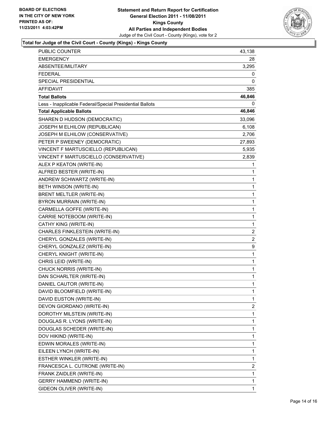

#### **Total for Judge of the Civil Court - County (Kings) - Kings County**

| PUBLIC COUNTER                                           | 43,138         |
|----------------------------------------------------------|----------------|
| EMERGENCY                                                | 28             |
| ABSENTEE/MILITARY                                        | 3,295          |
| <b>FEDERAL</b>                                           | 0              |
| SPECIAL PRESIDENTIAL                                     | 0              |
| <b>AFFIDAVIT</b>                                         | 385            |
| <b>Total Ballots</b>                                     | 46,846         |
| Less - Inapplicable Federal/Special Presidential Ballots | $\Omega$       |
| <b>Total Applicable Ballots</b>                          | 46,846         |
| SHAREN D HUDSON (DEMOCRATIC)                             | 33,096         |
| JOSEPH M ELHILOW (REPUBLICAN)                            | 6,108          |
| JOSEPH M ELHILOW (CONSERVATIVE)                          | 2,706          |
| PETER P SWEENEY (DEMOCRATIC)                             | 27,893         |
| VINCENT F MARTUSCIELLO (REPUBLICAN)                      | 5,935          |
| VINCENT F MARTUSCIELLO (CONSERVATIVE)                    | 2,839          |
| ALEX P KEATON (WRITE-IN)                                 | 1              |
| ALFRED BESTER (WRITE-IN)                                 | 1              |
| ANDREW SCHWARTZ (WRITE-IN)                               | 1              |
| BETH WINSON (WRITE-IN)                                   | 1              |
| <b>BRENT MELTLER (WRITE-IN)</b>                          | 1              |
| BYRON MURRAIN (WRITE-IN)                                 | 1              |
| CARMELLA GOFFE (WRITE-IN)                                | 1              |
| CARRIE NOTEBOOM (WRITE-IN)                               | 1              |
| CATHY KING (WRITE-IN)                                    | 1              |
| CHARLES FINKLESTEIN (WRITE-IN)                           | 2              |
| CHERYL GONZALES (WRITE-IN)                               | $\overline{2}$ |
| CHERYL GONZALEZ (WRITE-IN)                               | 9              |
| CHERYL KNIGHT (WRITE-IN)                                 | 1              |
| CHRIS LEID (WRITE-IN)                                    | 1              |
| CHUCK NORRIS (WRITE-IN)                                  | 1              |
| DAN SCHARLTER (WRITE-IN)                                 | 1              |
| DANIEL CAUTOR (WRITE-IN)                                 | 1              |
| DAVID BLOOMFIELD (WRITE-IN)                              | 1              |
| DAVID EUSTON (WRITE-IN)                                  | 1              |
| DEVON GIORDANO (WRITE-IN)                                | $\overline{2}$ |
| DOROTHY MILSTEIN (WRITE-IN)                              | 1              |
| DOUGLAS R. LYONS (WRITE-IN)                              | 1              |
| DOUGLAS SCHEDER (WRITE-IN)                               | 1              |
| DOV HIKIND (WRITE-IN)                                    | 1              |
| EDWIN MORALES (WRITE-IN)                                 | 1              |
| EILEEN LYNCH (WRITE-IN)                                  | 1              |
| ESTHER WINKLER (WRITE-IN)                                | 1              |
| FRANCESCA L. CUTRONE (WRITE-IN)                          | 2              |
| FRANK ZAIDLER (WRITE-IN)                                 | 1              |
| <b>GERRY HAMMEND (WRITE-IN)</b>                          | 1              |
| GIDEON OLIVER (WRITE-IN)                                 | $\mathbf{1}$   |
|                                                          |                |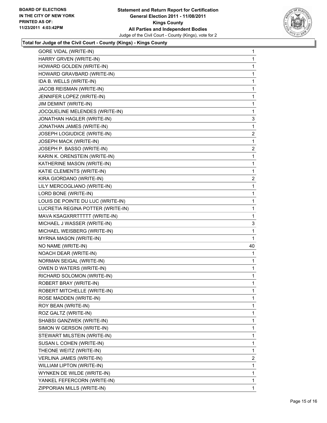

#### **Total for Judge of the Civil Court - County (Kings) - Kings County**

| <b>GORE VIDAL (WRITE-IN)</b>      | 1              |
|-----------------------------------|----------------|
| HARRY GRVEN (WRITE-IN)            | 1              |
| HOWARD GOLDEN (WRITE-IN)          | 1              |
| HOWARD GRAVBARD (WRITE-IN)        | 1              |
| IDA B. WELLS (WRITE-IN)           | 1              |
| JACOB REISMAN (WRITE-IN)          | 1              |
| JENNIFER LOPEZ (WRITE-IN)         | 1              |
| JIM DEMINT (WRITE-IN)             | 1              |
| JOCQUELINE MELENDES (WRITE-IN)    | 1              |
| JONATHAN HAGLER (WRITE-IN)        | 3              |
| JONATHAN JAMES (WRITE-IN)         | 1              |
| JOSEPH LOGIUDICE (WRITE-IN)       | 2              |
| JOSEPH MACK (WRITE-IN)            | 1              |
| JOSEPH P. BASSO (WRITE-IN)        | $\overline{2}$ |
| KARIN K. ORENSTEIN (WRITE-IN)     | 1              |
| KATHERINE MASON (WRITE-IN)        | 1              |
| KATIE CLEMENTS (WRITE-IN)         | 1              |
| KIRA GIORDANO (WRITE-IN)          | 2              |
| LILY MERCOGLIANO (WRITE-IN)       | 1              |
| LORD BONE (WRITE-IN)              | 1              |
| LOUIS DE POINTE DU LUC (WRITE-IN) | 1              |
| LUCRETIA REGINA POTTER (WRITE-IN) | 1              |
| MAVA KSAGXRRTTTTT (WRITE-IN)      | 1              |
| MICHAEL J WASSER (WRITE-IN)       | 3              |
| MICHAEL WEISBERG (WRITE-IN)       | 1              |
| MYRNA MASON (WRITE-IN)            | 1              |
| NO NAME (WRITE-IN)                | 40             |
| NOACH DEAR (WRITE-IN)             | 1              |
| NORMAN SEIGAL (WRITE-IN)          | 1              |
| OWEN D WATERS (WRITE-IN)          | 1              |
| RICHARD SOLOMON (WRITE-IN)        | 1              |
| ROBERT BRAY (WRITE-IN)            | 1              |
| ROBERT MITCHELLE (WRITE-IN)       | 1              |
| ROSE MADDEN (WRITE-IN)            | 1              |
| ROY BEAN (WRITE-IN)               | 1              |
| ROZ GALTZ (WRITE-IN)              | 1              |
| SHABSI GANZWEK (WRITE-IN)         | 1              |
| SIMON W GERSON (WRITE-IN)         | 1              |
| STEWART MILSTEIN (WRITE-IN)       | 1              |
| SUSAN L COHEN (WRITE-IN)          | 1              |
| THEONE WEITZ (WRITE-IN)           | 1              |
| VERLINA JAMES (WRITE-IN)          | $\overline{2}$ |
| WILLIAM LIPTON (WRITE-IN)         | 1              |
| WYNKEN DE WILDE (WRITE-IN)        | 1              |
| YANKEL FEFERCORN (WRITE-IN)       | 1              |
| ZIPPORIAN MILLS (WRITE-IN)        | 1              |
|                                   |                |